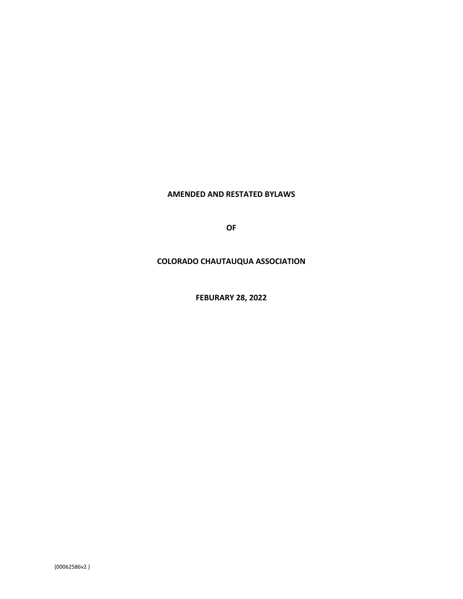### **AMENDED AND RESTATED BYLAWS**

**OF**

### **COLORADO CHAUTAUQUA ASSOCIATION**

**FEBURARY 28, 2022**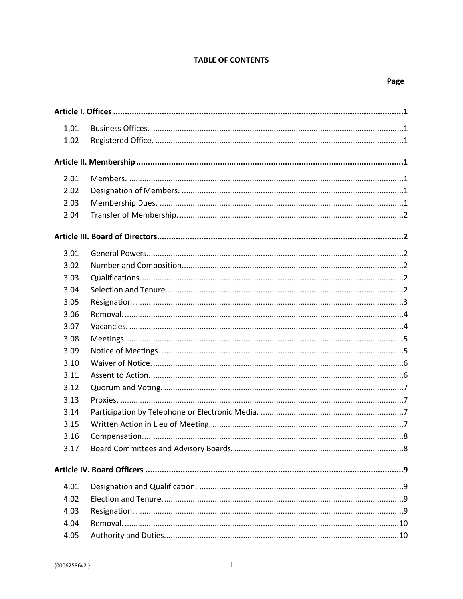# **TABLE OF CONTENTS**

| 1.01 |  |
|------|--|
| 1.02 |  |
|      |  |
|      |  |
| 2.01 |  |
| 2.02 |  |
| 2.03 |  |
| 2.04 |  |
|      |  |
| 3.01 |  |
| 3.02 |  |
| 3.03 |  |
| 3.04 |  |
| 3.05 |  |
| 3.06 |  |
| 3.07 |  |
| 3.08 |  |
| 3.09 |  |
| 3.10 |  |
| 3.11 |  |
| 3.12 |  |
| 3.13 |  |
| 3.14 |  |
| 3.15 |  |
| 3.16 |  |
| 3.17 |  |
|      |  |
| 4.01 |  |
| 4.02 |  |
| 4.03 |  |
| 4.04 |  |
| 4.05 |  |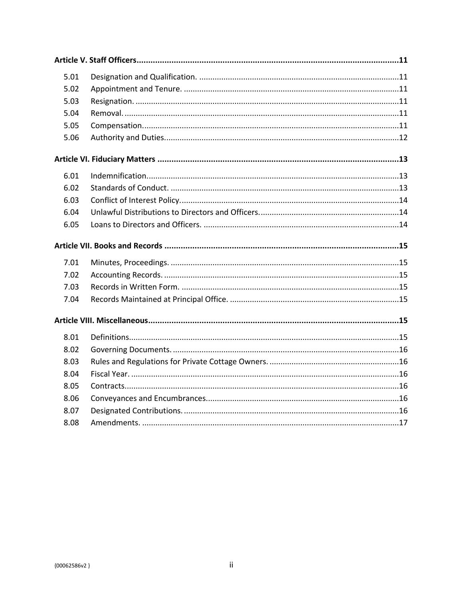| 5.01 |  |
|------|--|
| 5.02 |  |
| 5.03 |  |
| 5.04 |  |
| 5.05 |  |
| 5.06 |  |
|      |  |
| 6.01 |  |
| 6.02 |  |
| 6.03 |  |
| 6.04 |  |
| 6.05 |  |
|      |  |
|      |  |
| 7.01 |  |
| 7.02 |  |
| 7.03 |  |
| 7.04 |  |
|      |  |
| 8.01 |  |
| 8.02 |  |
| 8.03 |  |
| 8.04 |  |
| 8.05 |  |
| 8.06 |  |
| 8.07 |  |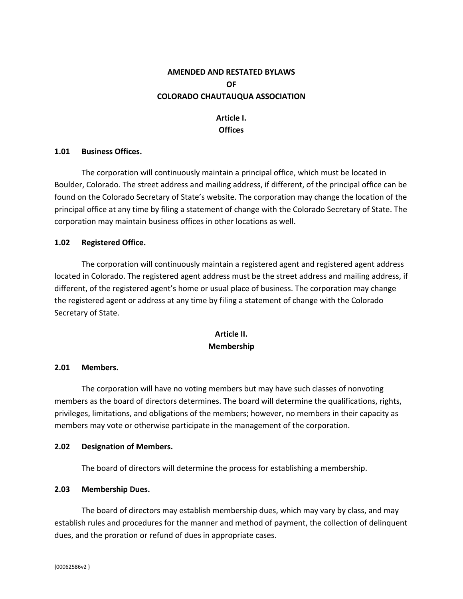# **AMENDED AND RESTATED BYLAWS OF COLORADO CHAUTAUQUA ASSOCIATION**

# <span id="page-3-0"></span>**Article I. Offices**

#### <span id="page-3-1"></span>**1.01 Business Offices.**

The corporation will continuously maintain a principal office, which must be located in Boulder, Colorado. The street address and mailing address, if different, of the principal office can be found on the Colorado Secretary of State's website. The corporation may change the location of the principal office at any time by filing a statement of change with the Colorado Secretary of State. The corporation may maintain business offices in other locations as well.

#### <span id="page-3-2"></span>**1.02 Registered Office.**

The corporation will continuously maintain a registered agent and registered agent address located in Colorado. The registered agent address must be the street address and mailing address, if different, of the registered agent's home or usual place of business. The corporation may change the registered agent or address at any time by filing a statement of change with the Colorado Secretary of State.

# <span id="page-3-3"></span>**Article II. Membership**

#### <span id="page-3-4"></span>**2.01 Members.**

The corporation will have no voting members but may have such classes of nonvoting members as the board of directors determines. The board will determine the qualifications, rights, privileges, limitations, and obligations of the members; however, no members in their capacity as members may vote or otherwise participate in the management of the corporation.

#### <span id="page-3-5"></span>**2.02 Designation of Members.**

The board of directors will determine the process for establishing a membership.

### <span id="page-3-6"></span>**2.03 Membership Dues.**

The board of directors may establish membership dues, which may vary by class, and may establish rules and procedures for the manner and method of payment, the collection of delinquent dues, and the proration or refund of dues in appropriate cases.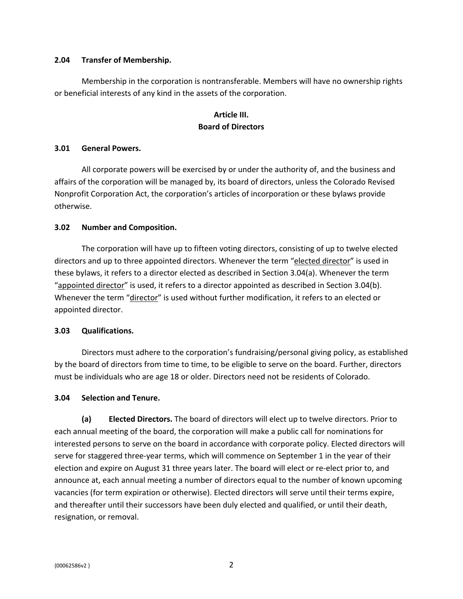#### <span id="page-4-0"></span>**2.04 Transfer of Membership.**

Membership in the corporation is nontransferable. Members will have no ownership rights or beneficial interests of any kind in the assets of the corporation.

## <span id="page-4-1"></span>**Article III. Board of Directors**

#### <span id="page-4-2"></span>**3.01 General Powers.**

All corporate powers will be exercised by or under the authority of, and the business and affairs of the corporation will be managed by, its board of directors, unless the Colorado Revised Nonprofit Corporation Act, the corporation's articles of incorporation or these bylaws provide otherwise.

#### <span id="page-4-3"></span>**3.02 Number and Composition.**

The corporation will have up to fifteen voting directors, consisting of up to twelve elected directors and up to three appointed directors. Whenever the term "elected director" is used in these bylaws, it refers to a director elected as described in Section 3.04(a). Whenever the term "appointed director" is used, it refers to a director appointed as described in Section 3.04(b). Whenever the term "director" is used without further modification, it refers to an elected or appointed director.

### <span id="page-4-4"></span>**3.03 Qualifications.**

Directors must adhere to the corporation's fundraising/personal giving policy, as established by the board of directors from time to time, to be eligible to serve on the board. Further, directors must be individuals who are age 18 or older. Directors need not be residents of Colorado.

### <span id="page-4-5"></span>**3.04 Selection and Tenure.**

**(a) Elected Directors.** The board of directors will elect up to twelve directors. Prior to each annual meeting of the board, the corporation will make a public call for nominations for interested persons to serve on the board in accordance with corporate policy. Elected directors will serve for staggered three-year terms, which will commence on September 1 in the year of their election and expire on August 31 three years later. The board will elect or re-elect prior to, and announce at, each annual meeting a number of directors equal to the number of known upcoming vacancies (for term expiration or otherwise). Elected directors will serve until their terms expire, and thereafter until their successors have been duly elected and qualified, or until their death, resignation, or removal.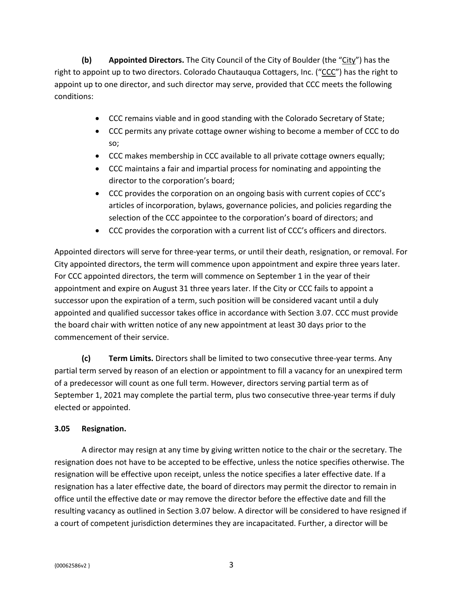**(b) Appointed Directors.** The City Council of the City of Boulder (the "City") has the right to appoint up to two directors. Colorado Chautauqua Cottagers, Inc. ("CCC") has the right to appoint up to one director, and such director may serve, provided that CCC meets the following conditions:

- CCC remains viable and in good standing with the Colorado Secretary of State;
- CCC permits any private cottage owner wishing to become a member of CCC to do so;
- CCC makes membership in CCC available to all private cottage owners equally;
- CCC maintains a fair and impartial process for nominating and appointing the director to the corporation's board;
- CCC provides the corporation on an ongoing basis with current copies of CCC's articles of incorporation, bylaws, governance policies, and policies regarding the selection of the CCC appointee to the corporation's board of directors; and
- CCC provides the corporation with a current list of CCC's officers and directors.

Appointed directors will serve for three-year terms, or until their death, resignation, or removal. For City appointed directors, the term will commence upon appointment and expire three years later. For CCC appointed directors, the term will commence on September 1 in the year of their appointment and expire on August 31 three years later. If the City or CCC fails to appoint a successor upon the expiration of a term, such position will be considered vacant until a duly appointed and qualified successor takes office in accordance with Section 3.07. CCC must provide the board chair with written notice of any new appointment at least 30 days prior to the commencement of their service.

**(c) Term Limits.** Directors shall be limited to two consecutive three-year terms. Any partial term served by reason of an election or appointment to fill a vacancy for an unexpired term of a predecessor will count as one full term. However, directors serving partial term as of September 1, 2021 may complete the partial term, plus two consecutive three-year terms if duly elected or appointed.

# <span id="page-5-0"></span>**3.05 Resignation.**

A director may resign at any time by giving written notice to the chair or the secretary. The resignation does not have to be accepted to be effective, unless the notice specifies otherwise. The resignation will be effective upon receipt, unless the notice specifies a later effective date. If a resignation has a later effective date, the board of directors may permit the director to remain in office until the effective date or may remove the director before the effective date and fill the resulting vacancy as outlined in Section 3.07 below. A director will be considered to have resigned if a court of competent jurisdiction determines they are incapacitated. Further, a director will be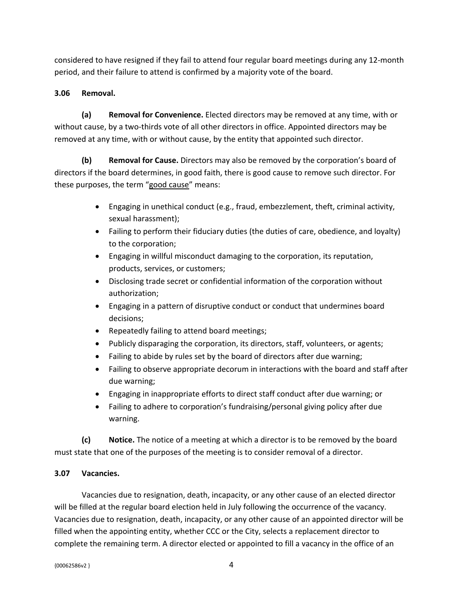considered to have resigned if they fail to attend four regular board meetings during any 12-month period, and their failure to attend is confirmed by a majority vote of the board.

# <span id="page-6-0"></span>**3.06 Removal.**

**(a) Removal for Convenience.** Elected directors may be removed at any time, with or without cause, by a two-thirds vote of all other directors in office. Appointed directors may be removed at any time, with or without cause, by the entity that appointed such director.

**(b) Removal for Cause.** Directors may also be removed by the corporation's board of directors if the board determines, in good faith, there is good cause to remove such director. For these purposes, the term "good cause" means:

- Engaging in unethical conduct (e.g., fraud, embezzlement, theft, criminal activity, sexual harassment);
- Failing to perform their fiduciary duties (the duties of care, obedience, and loyalty) to the corporation;
- Engaging in willful misconduct damaging to the corporation, its reputation, products, services, or customers;
- Disclosing trade secret or confidential information of the corporation without authorization;
- Engaging in a pattern of disruptive conduct or conduct that undermines board decisions;
- Repeatedly failing to attend board meetings;
- Publicly disparaging the corporation, its directors, staff, volunteers, or agents;
- Failing to abide by rules set by the board of directors after due warning;
- Failing to observe appropriate decorum in interactions with the board and staff after due warning;
- Engaging in inappropriate efforts to direct staff conduct after due warning; or
- Failing to adhere to corporation's fundraising/personal giving policy after due warning.

**(c) Notice.** The notice of a meeting at which a director is to be removed by the board must state that one of the purposes of the meeting is to consider removal of a director.

# <span id="page-6-1"></span>**3.07 Vacancies.**

Vacancies due to resignation, death, incapacity, or any other cause of an elected director will be filled at the regular board election held in July following the occurrence of the vacancy. Vacancies due to resignation, death, incapacity, or any other cause of an appointed director will be filled when the appointing entity, whether CCC or the City, selects a replacement director to complete the remaining term. A director elected or appointed to fill a vacancy in the office of an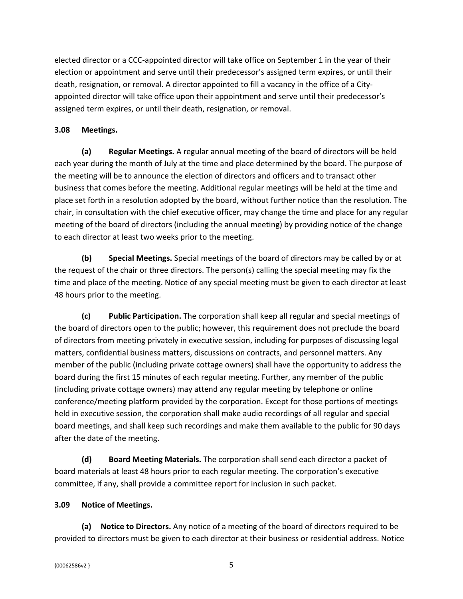elected director or a CCC-appointed director will take office on September 1 in the year of their election or appointment and serve until their predecessor's assigned term expires, or until their death, resignation, or removal. A director appointed to fill a vacancy in the office of a Cityappointed director will take office upon their appointment and serve until their predecessor's assigned term expires, or until their death, resignation, or removal.

### <span id="page-7-0"></span>**3.08 Meetings.**

**(a) Regular Meetings.** A regular annual meeting of the board of directors will be held each year during the month of July at the time and place determined by the board. The purpose of the meeting will be to announce the election of directors and officers and to transact other business that comes before the meeting. Additional regular meetings will be held at the time and place set forth in a resolution adopted by the board, without further notice than the resolution. The chair, in consultation with the chief executive officer, may change the time and place for any regular meeting of the board of directors (including the annual meeting) by providing notice of the change to each director at least two weeks prior to the meeting.

**(b) Special Meetings.** Special meetings of the board of directors may be called by or at the request of the chair or three directors. The person(s) calling the special meeting may fix the time and place of the meeting. Notice of any special meeting must be given to each director at least 48 hours prior to the meeting.

**(c) Public Participation.** The corporation shall keep all regular and special meetings of the board of directors open to the public; however, this requirement does not preclude the board of directors from meeting privately in executive session, including for purposes of discussing legal matters, confidential business matters, discussions on contracts, and personnel matters. Any member of the public (including private cottage owners) shall have the opportunity to address the board during the first 15 minutes of each regular meeting. Further, any member of the public (including private cottage owners) may attend any regular meeting by telephone or online conference/meeting platform provided by the corporation. Except for those portions of meetings held in executive session, the corporation shall make audio recordings of all regular and special board meetings, and shall keep such recordings and make them available to the public for 90 days after the date of the meeting.

**(d) Board Meeting Materials.** The corporation shall send each director a packet of board materials at least 48 hours prior to each regular meeting. The corporation's executive committee, if any, shall provide a committee report for inclusion in such packet.

### <span id="page-7-1"></span>**3.09 Notice of Meetings.**

**(a) Notice to Directors.** Any notice of a meeting of the board of directors required to be provided to directors must be given to each director at their business or residential address. Notice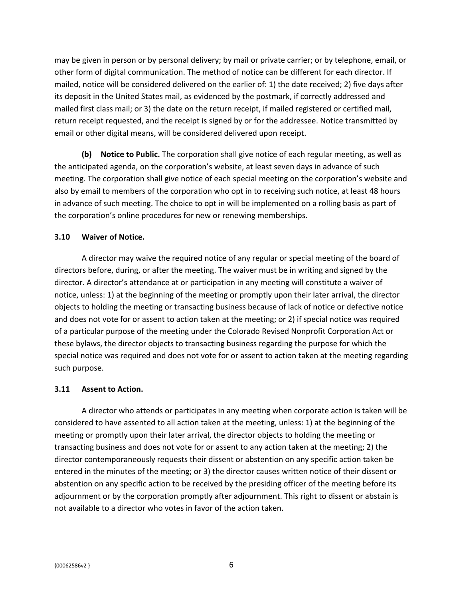may be given in person or by personal delivery; by mail or private carrier; or by telephone, email, or other form of digital communication. The method of notice can be different for each director. If mailed, notice will be considered delivered on the earlier of: 1) the date received; 2) five days after its deposit in the United States mail, as evidenced by the postmark, if correctly addressed and mailed first class mail; or 3) the date on the return receipt, if mailed registered or certified mail, return receipt requested, and the receipt is signed by or for the addressee. Notice transmitted by email or other digital means, will be considered delivered upon receipt.

**(b) Notice to Public.** The corporation shall give notice of each regular meeting, as well as the anticipated agenda, on the corporation's website, at least seven days in advance of such meeting. The corporation shall give notice of each special meeting on the corporation's website and also by email to members of the corporation who opt in to receiving such notice, at least 48 hours in advance of such meeting. The choice to opt in will be implemented on a rolling basis as part of the corporation's online procedures for new or renewing memberships.

#### <span id="page-8-0"></span>**3.10 Waiver of Notice.**

A director may waive the required notice of any regular or special meeting of the board of directors before, during, or after the meeting. The waiver must be in writing and signed by the director. A director's attendance at or participation in any meeting will constitute a waiver of notice, unless: 1) at the beginning of the meeting or promptly upon their later arrival, the director objects to holding the meeting or transacting business because of lack of notice or defective notice and does not vote for or assent to action taken at the meeting; or 2) if special notice was required of a particular purpose of the meeting under the Colorado Revised Nonprofit Corporation Act or these bylaws, the director objects to transacting business regarding the purpose for which the special notice was required and does not vote for or assent to action taken at the meeting regarding such purpose.

#### <span id="page-8-1"></span>**3.11 Assent to Action.**

A director who attends or participates in any meeting when corporate action is taken will be considered to have assented to all action taken at the meeting, unless: 1) at the beginning of the meeting or promptly upon their later arrival, the director objects to holding the meeting or transacting business and does not vote for or assent to any action taken at the meeting; 2) the director contemporaneously requests their dissent or abstention on any specific action taken be entered in the minutes of the meeting; or 3) the director causes written notice of their dissent or abstention on any specific action to be received by the presiding officer of the meeting before its adjournment or by the corporation promptly after adjournment. This right to dissent or abstain is not available to a director who votes in favor of the action taken.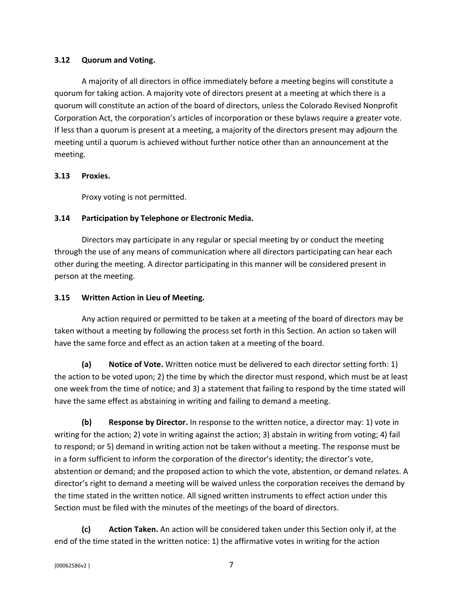### <span id="page-9-0"></span>**3.12 Quorum and Voting.**

A majority of all directors in office immediately before a meeting begins will constitute a quorum for taking action. A majority vote of directors present at a meeting at which there is a quorum will constitute an action of the board of directors, unless the Colorado Revised Nonprofit Corporation Act, the corporation's articles of incorporation or these bylaws require a greater vote. If less than a quorum is present at a meeting, a majority of the directors present may adjourn the meeting until a quorum is achieved without further notice other than an announcement at the meeting.

### <span id="page-9-1"></span>**3.13 Proxies.**

Proxy voting is not permitted.

# <span id="page-9-2"></span>**3.14 Participation by Telephone or Electronic Media.**

Directors may participate in any regular or special meeting by or conduct the meeting through the use of any means of communication where all directors participating can hear each other during the meeting. A director participating in this manner will be considered present in person at the meeting.

### <span id="page-9-3"></span>**3.15 Written Action in Lieu of Meeting.**

Any action required or permitted to be taken at a meeting of the board of directors may be taken without a meeting by following the process set forth in this Section. An action so taken will have the same force and effect as an action taken at a meeting of the board.

**(a) Notice of Vote.** Written notice must be delivered to each director setting forth: 1) the action to be voted upon; 2) the time by which the director must respond, which must be at least one week from the time of notice; and 3) a statement that failing to respond by the time stated will have the same effect as abstaining in writing and failing to demand a meeting.

**(b) Response by Director.** In response to the written notice, a director may: 1) vote in writing for the action; 2) vote in writing against the action; 3) abstain in writing from voting; 4) fail to respond; or 5) demand in writing action not be taken without a meeting. The response must be in a form sufficient to inform the corporation of the director's identity; the director's vote, abstention or demand; and the proposed action to which the vote, abstention, or demand relates. A director's right to demand a meeting will be waived unless the corporation receives the demand by the time stated in the written notice. All signed written instruments to effect action under this Section must be filed with the minutes of the meetings of the board of directors.

**(c) Action Taken.** An action will be considered taken under this Section only if, at the end of the time stated in the written notice: 1) the affirmative votes in writing for the action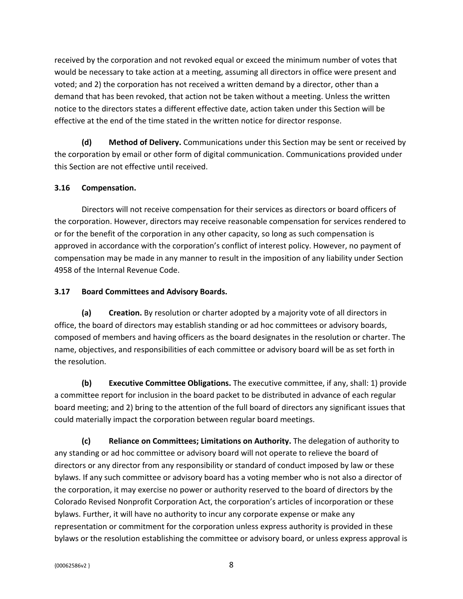received by the corporation and not revoked equal or exceed the minimum number of votes that would be necessary to take action at a meeting, assuming all directors in office were present and voted; and 2) the corporation has not received a written demand by a director, other than a demand that has been revoked, that action not be taken without a meeting. Unless the written notice to the directors states a different effective date, action taken under this Section will be effective at the end of the time stated in the written notice for director response.

**(d) Method of Delivery.** Communications under this Section may be sent or received by the corporation by email or other form of digital communication. Communications provided under this Section are not effective until received.

# <span id="page-10-0"></span>**3.16 Compensation.**

Directors will not receive compensation for their services as directors or board officers of the corporation. However, directors may receive reasonable compensation for services rendered to or for the benefit of the corporation in any other capacity, so long as such compensation is approved in accordance with the corporation's conflict of interest policy. However, no payment of compensation may be made in any manner to result in the imposition of any liability under Section 4958 of the Internal Revenue Code.

### <span id="page-10-1"></span>**3.17 Board Committees and Advisory Boards.**

**(a) Creation.** By resolution or charter adopted by a majority vote of all directors in office, the board of directors may establish standing or ad hoc committees or advisory boards, composed of members and having officers as the board designates in the resolution or charter. The name, objectives, and responsibilities of each committee or advisory board will be as set forth in the resolution.

**(b) Executive Committee Obligations.** The executive committee, if any, shall: 1) provide a committee report for inclusion in the board packet to be distributed in advance of each regular board meeting; and 2) bring to the attention of the full board of directors any significant issues that could materially impact the corporation between regular board meetings.

**(c) Reliance on Committees; Limitations on Authority.** The delegation of authority to any standing or ad hoc committee or advisory board will not operate to relieve the board of directors or any director from any responsibility or standard of conduct imposed by law or these bylaws. If any such committee or advisory board has a voting member who is not also a director of the corporation, it may exercise no power or authority reserved to the board of directors by the Colorado Revised Nonprofit Corporation Act, the corporation's articles of incorporation or these bylaws. Further, it will have no authority to incur any corporate expense or make any representation or commitment for the corporation unless express authority is provided in these bylaws or the resolution establishing the committee or advisory board, or unless express approval is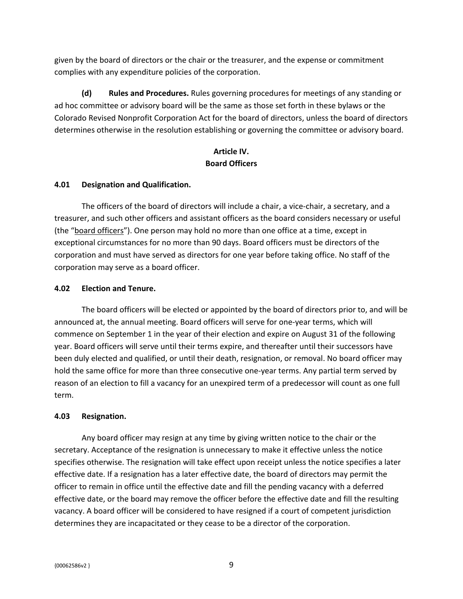given by the board of directors or the chair or the treasurer, and the expense or commitment complies with any expenditure policies of the corporation.

**(d) Rules and Procedures.** Rules governing procedures for meetings of any standing or ad hoc committee or advisory board will be the same as those set forth in these bylaws or the Colorado Revised Nonprofit Corporation Act for the board of directors, unless the board of directors determines otherwise in the resolution establishing or governing the committee or advisory board.

# <span id="page-11-0"></span>**Article IV. Board Officers**

### <span id="page-11-1"></span>**4.01 Designation and Qualification.**

The officers of the board of directors will include a chair, a vice-chair, a secretary, and a treasurer, and such other officers and assistant officers as the board considers necessary or useful (the "board officers"). One person may hold no more than one office at a time, except in exceptional circumstances for no more than 90 days. Board officers must be directors of the corporation and must have served as directors for one year before taking office. No staff of the corporation may serve as a board officer.

#### <span id="page-11-2"></span>**4.02 Election and Tenure.**

The board officers will be elected or appointed by the board of directors prior to, and will be announced at, the annual meeting. Board officers will serve for one-year terms, which will commence on September 1 in the year of their election and expire on August 31 of the following year. Board officers will serve until their terms expire, and thereafter until their successors have been duly elected and qualified, or until their death, resignation, or removal. No board officer may hold the same office for more than three consecutive one-year terms. Any partial term served by reason of an election to fill a vacancy for an unexpired term of a predecessor will count as one full term.

### <span id="page-11-3"></span>**4.03 Resignation.**

Any board officer may resign at any time by giving written notice to the chair or the secretary. Acceptance of the resignation is unnecessary to make it effective unless the notice specifies otherwise. The resignation will take effect upon receipt unless the notice specifies a later effective date. If a resignation has a later effective date, the board of directors may permit the officer to remain in office until the effective date and fill the pending vacancy with a deferred effective date, or the board may remove the officer before the effective date and fill the resulting vacancy. A board officer will be considered to have resigned if a court of competent jurisdiction determines they are incapacitated or they cease to be a director of the corporation.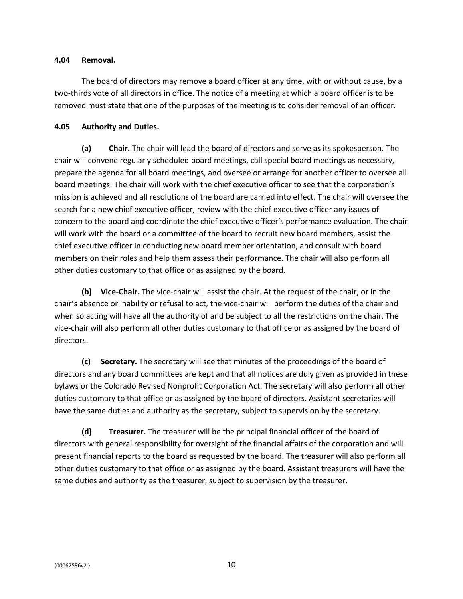#### <span id="page-12-0"></span>**4.04 Removal.**

The board of directors may remove a board officer at any time, with or without cause, by a two-thirds vote of all directors in office. The notice of a meeting at which a board officer is to be removed must state that one of the purposes of the meeting is to consider removal of an officer.

### <span id="page-12-1"></span>**4.05 Authority and Duties.**

**(a) Chair.** The chair will lead the board of directors and serve as its spokesperson. The chair will convene regularly scheduled board meetings, call special board meetings as necessary, prepare the agenda for all board meetings, and oversee or arrange for another officer to oversee all board meetings. The chair will work with the chief executive officer to see that the corporation's mission is achieved and all resolutions of the board are carried into effect. The chair will oversee the search for a new chief executive officer, review with the chief executive officer any issues of concern to the board and coordinate the chief executive officer's performance evaluation. The chair will work with the board or a committee of the board to recruit new board members, assist the chief executive officer in conducting new board member orientation, and consult with board members on their roles and help them assess their performance. The chair will also perform all other duties customary to that office or as assigned by the board.

**(b) Vice-Chair.** The vice-chair will assist the chair. At the request of the chair, or in the chair's absence or inability or refusal to act, the vice-chair will perform the duties of the chair and when so acting will have all the authority of and be subject to all the restrictions on the chair. The vice-chair will also perform all other duties customary to that office or as assigned by the board of directors.

**(c) Secretary.** The secretary will see that minutes of the proceedings of the board of directors and any board committees are kept and that all notices are duly given as provided in these bylaws or the Colorado Revised Nonprofit Corporation Act. The secretary will also perform all other duties customary to that office or as assigned by the board of directors. Assistant secretaries will have the same duties and authority as the secretary, subject to supervision by the secretary.

**(d) Treasurer.** The treasurer will be the principal financial officer of the board of directors with general responsibility for oversight of the financial affairs of the corporation and will present financial reports to the board as requested by the board. The treasurer will also perform all other duties customary to that office or as assigned by the board. Assistant treasurers will have the same duties and authority as the treasurer, subject to supervision by the treasurer.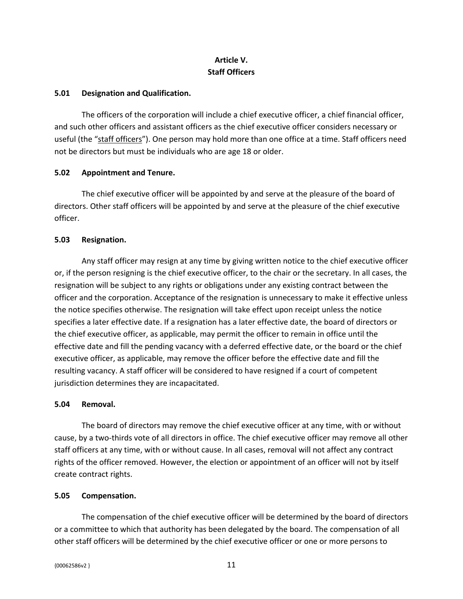# <span id="page-13-0"></span>**Article V. Staff Officers**

### <span id="page-13-1"></span>**5.01 Designation and Qualification.**

The officers of the corporation will include a chief executive officer, a chief financial officer, and such other officers and assistant officers as the chief executive officer considers necessary or useful (the "staff officers"). One person may hold more than one office at a time. Staff officers need not be directors but must be individuals who are age 18 or older.

#### <span id="page-13-2"></span>**5.02 Appointment and Tenure.**

The chief executive officer will be appointed by and serve at the pleasure of the board of directors. Other staff officers will be appointed by and serve at the pleasure of the chief executive officer.

#### <span id="page-13-3"></span>**5.03 Resignation.**

Any staff officer may resign at any time by giving written notice to the chief executive officer or, if the person resigning is the chief executive officer, to the chair or the secretary. In all cases, the resignation will be subject to any rights or obligations under any existing contract between the officer and the corporation. Acceptance of the resignation is unnecessary to make it effective unless the notice specifies otherwise. The resignation will take effect upon receipt unless the notice specifies a later effective date. If a resignation has a later effective date, the board of directors or the chief executive officer, as applicable, may permit the officer to remain in office until the effective date and fill the pending vacancy with a deferred effective date, or the board or the chief executive officer, as applicable, may remove the officer before the effective date and fill the resulting vacancy. A staff officer will be considered to have resigned if a court of competent jurisdiction determines they are incapacitated.

#### <span id="page-13-4"></span>**5.04 Removal.**

The board of directors may remove the chief executive officer at any time, with or without cause, by a two-thirds vote of all directors in office. The chief executive officer may remove all other staff officers at any time, with or without cause. In all cases, removal will not affect any contract rights of the officer removed. However, the election or appointment of an officer will not by itself create contract rights.

#### <span id="page-13-5"></span>**5.05 Compensation.**

The compensation of the chief executive officer will be determined by the board of directors or a committee to which that authority has been delegated by the board. The compensation of all other staff officers will be determined by the chief executive officer or one or more persons to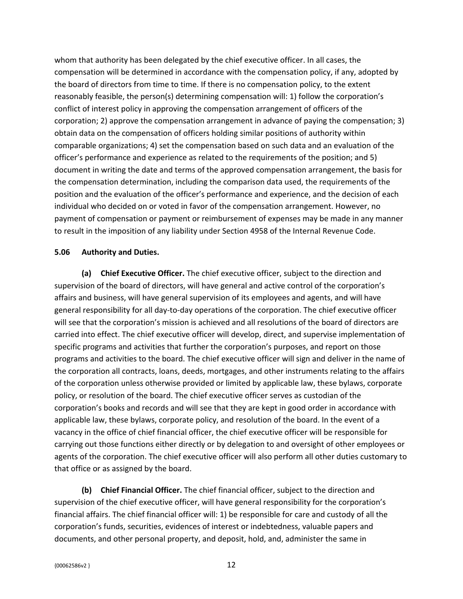whom that authority has been delegated by the chief executive officer. In all cases, the compensation will be determined in accordance with the compensation policy, if any, adopted by the board of directors from time to time. If there is no compensation policy, to the extent reasonably feasible, the person(s) determining compensation will: 1) follow the corporation's conflict of interest policy in approving the compensation arrangement of officers of the corporation; 2) approve the compensation arrangement in advance of paying the compensation; 3) obtain data on the compensation of officers holding similar positions of authority within comparable organizations; 4) set the compensation based on such data and an evaluation of the officer's performance and experience as related to the requirements of the position; and 5) document in writing the date and terms of the approved compensation arrangement, the basis for the compensation determination, including the comparison data used, the requirements of the position and the evaluation of the officer's performance and experience, and the decision of each individual who decided on or voted in favor of the compensation arrangement. However, no payment of compensation or payment or reimbursement of expenses may be made in any manner to result in the imposition of any liability under Section 4958 of the Internal Revenue Code.

#### <span id="page-14-0"></span>**5.06 Authority and Duties.**

**(a) Chief Executive Officer.** The chief executive officer, subject to the direction and supervision of the board of directors, will have general and active control of the corporation's affairs and business, will have general supervision of its employees and agents, and will have general responsibility for all day-to-day operations of the corporation. The chief executive officer will see that the corporation's mission is achieved and all resolutions of the board of directors are carried into effect. The chief executive officer will develop, direct, and supervise implementation of specific programs and activities that further the corporation's purposes, and report on those programs and activities to the board. The chief executive officer will sign and deliver in the name of the corporation all contracts, loans, deeds, mortgages, and other instruments relating to the affairs of the corporation unless otherwise provided or limited by applicable law, these bylaws, corporate policy, or resolution of the board. The chief executive officer serves as custodian of the corporation's books and records and will see that they are kept in good order in accordance with applicable law, these bylaws, corporate policy, and resolution of the board. In the event of a vacancy in the office of chief financial officer, the chief executive officer will be responsible for carrying out those functions either directly or by delegation to and oversight of other employees or agents of the corporation. The chief executive officer will also perform all other duties customary to that office or as assigned by the board.

**(b) Chief Financial Officer.** The chief financial officer, subject to the direction and supervision of the chief executive officer, will have general responsibility for the corporation's financial affairs. The chief financial officer will: 1) be responsible for care and custody of all the corporation's funds, securities, evidences of interest or indebtedness, valuable papers and documents, and other personal property, and deposit, hold, and, administer the same in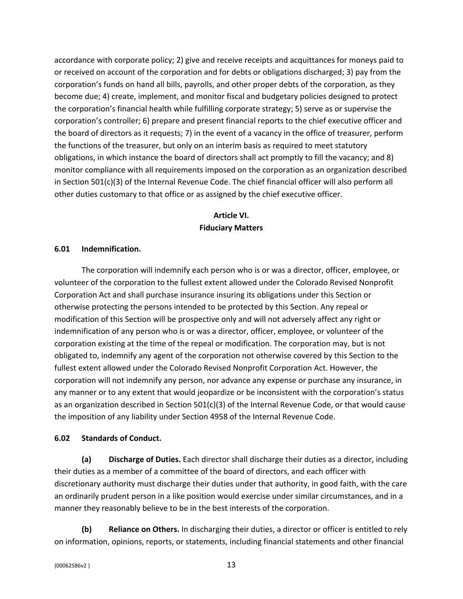accordance with corporate policy; 2) give and receive receipts and acquittances for moneys paid to or received on account of the corporation and for debts or obligations discharged; 3) pay from the corporation's funds on hand all bills, payrolls, and other proper debts of the corporation, as they become due; 4) create, implement, and monitor fiscal and budgetary policies designed to protect the corporation's financial health while fulfilling corporate strategy; 5) serve as or supervise the corporation's controller; 6) prepare and present financial reports to the chief executive officer and the board of directors as it requests; 7) in the event of a vacancy in the office of treasurer, perform the functions of the treasurer, but only on an interim basis as required to meet statutory obligations, in which instance the board of directors shall act promptly to fill the vacancy; and 8) monitor compliance with all requirements imposed on the corporation as an organization described in Section 501(c)(3) of the Internal Revenue Code. The chief financial officer will also perform all other duties customary to that office or as assigned by the chief executive officer.

### <span id="page-15-0"></span>**Article VI. Fiduciary Matters**

#### <span id="page-15-1"></span>**6.01 Indemnification.**

The corporation will indemnify each person who is or was a director, officer, employee, or volunteer of the corporation to the fullest extent allowed under the Colorado Revised Nonprofit Corporation Act and shall purchase insurance insuring its obligations under this Section or otherwise protecting the persons intended to be protected by this Section. Any repeal or modification of this Section will be prospective only and will not adversely affect any right or indemnification of any person who is or was a director, officer, employee, or volunteer of the corporation existing at the time of the repeal or modification. The corporation may, but is not obligated to, indemnify any agent of the corporation not otherwise covered by this Section to the fullest extent allowed under the Colorado Revised Nonprofit Corporation Act. However, the corporation will not indemnify any person, nor advance any expense or purchase any insurance, in any manner or to any extent that would jeopardize or be inconsistent with the corporation's status as an organization described in Section 501(c)(3) of the Internal Revenue Code, or that would cause the imposition of any liability under Section 4958 of the Internal Revenue Code.

#### <span id="page-15-2"></span>**6.02 Standards of Conduct.**

**(a) Discharge of Duties.** Each director shall discharge their duties as a director, including their duties as a member of a committee of the board of directors, and each officer with discretionary authority must discharge their duties under that authority, in good faith, with the care an ordinarily prudent person in a like position would exercise under similar circumstances, and in a manner they reasonably believe to be in the best interests of the corporation.

**(b) Reliance on Others.** In discharging their duties, a director or officer is entitled to rely on information, opinions, reports, or statements, including financial statements and other financial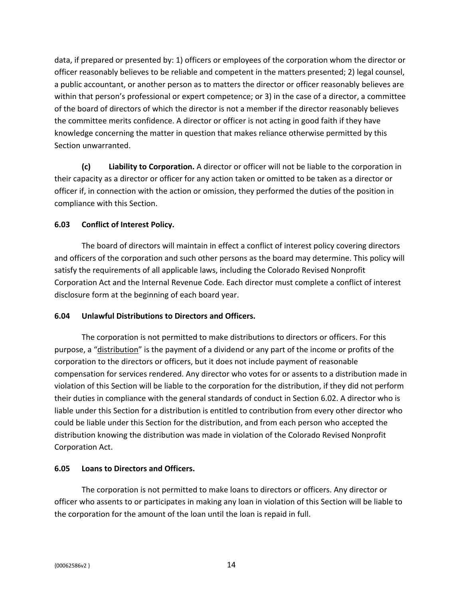data, if prepared or presented by: 1) officers or employees of the corporation whom the director or officer reasonably believes to be reliable and competent in the matters presented; 2) legal counsel, a public accountant, or another person as to matters the director or officer reasonably believes are within that person's professional or expert competence; or 3) in the case of a director, a committee of the board of directors of which the director is not a member if the director reasonably believes the committee merits confidence. A director or officer is not acting in good faith if they have knowledge concerning the matter in question that makes reliance otherwise permitted by this Section unwarranted.

**(c) Liability to Corporation.** A director or officer will not be liable to the corporation in their capacity as a director or officer for any action taken or omitted to be taken as a director or officer if, in connection with the action or omission, they performed the duties of the position in compliance with this Section.

### <span id="page-16-0"></span>**6.03 Conflict of Interest Policy.**

The board of directors will maintain in effect a conflict of interest policy covering directors and officers of the corporation and such other persons as the board may determine. This policy will satisfy the requirements of all applicable laws, including the Colorado Revised Nonprofit Corporation Act and the Internal Revenue Code. Each director must complete a conflict of interest disclosure form at the beginning of each board year.

### <span id="page-16-1"></span>**6.04 Unlawful Distributions to Directors and Officers.**

The corporation is not permitted to make distributions to directors or officers. For this purpose, a "distribution" is the payment of a dividend or any part of the income or profits of the corporation to the directors or officers, but it does not include payment of reasonable compensation for services rendered. Any director who votes for or assents to a distribution made in violation of this Section will be liable to the corporation for the distribution, if they did not perform their duties in compliance with the general standards of conduct in Section 6.02. A director who is liable under this Section for a distribution is entitled to contribution from every other director who could be liable under this Section for the distribution, and from each person who accepted the distribution knowing the distribution was made in violation of the Colorado Revised Nonprofit Corporation Act.

#### <span id="page-16-2"></span>**6.05 Loans to Directors and Officers.**

The corporation is not permitted to make loans to directors or officers. Any director or officer who assents to or participates in making any loan in violation of this Section will be liable to the corporation for the amount of the loan until the loan is repaid in full.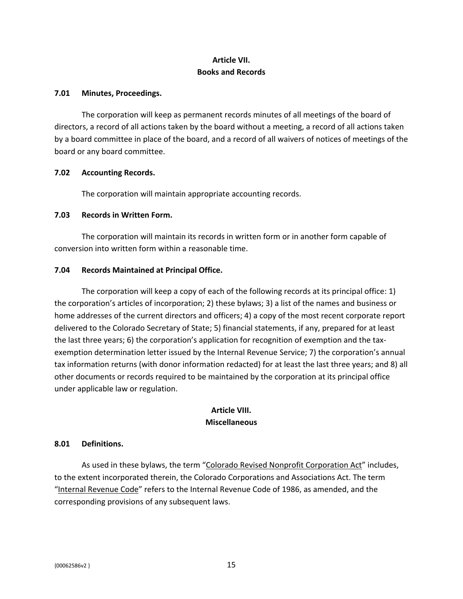# <span id="page-17-0"></span>**Article VII. Books and Records**

#### <span id="page-17-1"></span>**7.01 Minutes, Proceedings.**

The corporation will keep as permanent records minutes of all meetings of the board of directors, a record of all actions taken by the board without a meeting, a record of all actions taken by a board committee in place of the board, and a record of all waivers of notices of meetings of the board or any board committee.

#### <span id="page-17-2"></span>**7.02 Accounting Records.**

The corporation will maintain appropriate accounting records.

#### <span id="page-17-3"></span>**7.03 Records in Written Form.**

The corporation will maintain its records in written form or in another form capable of conversion into written form within a reasonable time.

### <span id="page-17-4"></span>**7.04 Records Maintained at Principal Office.**

The corporation will keep a copy of each of the following records at its principal office: 1) the corporation's articles of incorporation; 2) these bylaws; 3) a list of the names and business or home addresses of the current directors and officers; 4) a copy of the most recent corporate report delivered to the Colorado Secretary of State; 5) financial statements, if any, prepared for at least the last three years; 6) the corporation's application for recognition of exemption and the taxexemption determination letter issued by the Internal Revenue Service; 7) the corporation's annual tax information returns (with donor information redacted) for at least the last three years; and 8) all other documents or records required to be maintained by the corporation at its principal office under applicable law or regulation.

# <span id="page-17-5"></span>**Article VIII. Miscellaneous**

### <span id="page-17-6"></span>**8.01 Definitions.**

As used in these bylaws, the term "Colorado Revised Nonprofit Corporation Act" includes, to the extent incorporated therein, the Colorado Corporations and Associations Act. The term "Internal Revenue Code" refers to the Internal Revenue Code of 1986, as amended, and the corresponding provisions of any subsequent laws.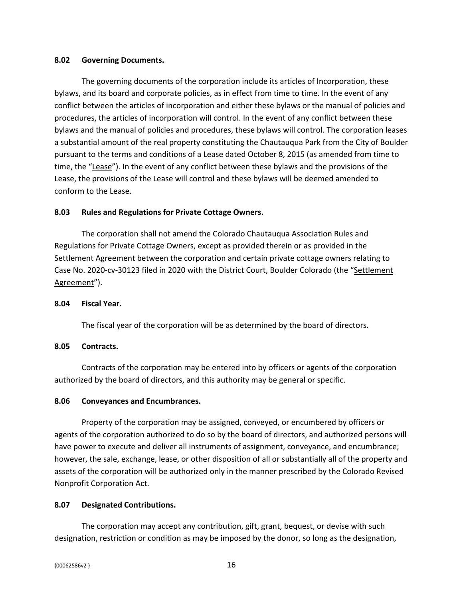#### <span id="page-18-0"></span>**8.02 Governing Documents.**

The governing documents of the corporation include its articles of Incorporation, these bylaws, and its board and corporate policies, as in effect from time to time. In the event of any conflict between the articles of incorporation and either these bylaws or the manual of policies and procedures, the articles of incorporation will control. In the event of any conflict between these bylaws and the manual of policies and procedures, these bylaws will control. The corporation leases a substantial amount of the real property constituting the Chautauqua Park from the City of Boulder pursuant to the terms and conditions of a Lease dated October 8, 2015 (as amended from time to time, the "Lease"). In the event of any conflict between these bylaws and the provisions of the Lease, the provisions of the Lease will control and these bylaws will be deemed amended to conform to the Lease.

### <span id="page-18-1"></span>**8.03 Rules and Regulations for Private Cottage Owners.**

The corporation shall not amend the Colorado Chautauqua Association Rules and Regulations for Private Cottage Owners, except as provided therein or as provided in the Settlement Agreement between the corporation and certain private cottage owners relating to Case No. 2020-cv-30123 filed in 2020 with the District Court, Boulder Colorado (the "Settlement Agreement").

### <span id="page-18-2"></span>**8.04 Fiscal Year.**

The fiscal year of the corporation will be as determined by the board of directors.

### <span id="page-18-3"></span>**8.05 Contracts.**

Contracts of the corporation may be entered into by officers or agents of the corporation authorized by the board of directors, and this authority may be general or specific.

# <span id="page-18-4"></span>**8.06 Conveyances and Encumbrances.**

Property of the corporation may be assigned, conveyed, or encumbered by officers or agents of the corporation authorized to do so by the board of directors, and authorized persons will have power to execute and deliver all instruments of assignment, conveyance, and encumbrance; however, the sale, exchange, lease, or other disposition of all or substantially all of the property and assets of the corporation will be authorized only in the manner prescribed by the Colorado Revised Nonprofit Corporation Act.

# <span id="page-18-5"></span>**8.07 Designated Contributions.**

The corporation may accept any contribution, gift, grant, bequest, or devise with such designation, restriction or condition as may be imposed by the donor, so long as the designation,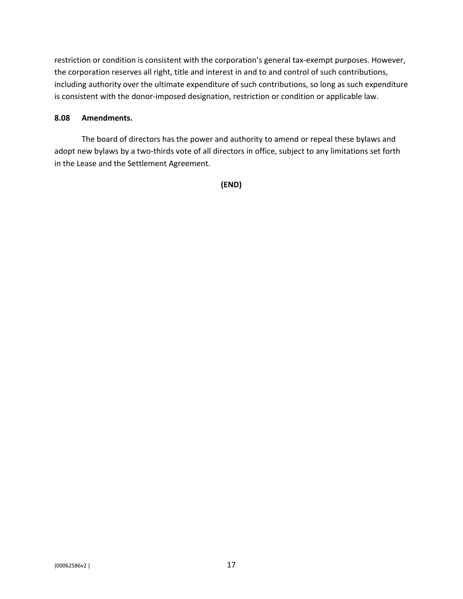restriction or condition is consistent with the corporation's general tax-exempt purposes. However, the corporation reserves all right, title and interest in and to and control of such contributions, including authority over the ultimate expenditure of such contributions, so long as such expenditure is consistent with the donor-imposed designation, restriction or condition or applicable law.

### <span id="page-19-0"></span>**8.08 Amendments.**

The board of directors has the power and authority to amend or repeal these bylaws and adopt new bylaws by a two-thirds vote of all directors in office, subject to any limitations set forth in the Lease and the Settlement Agreement.

**(END)**